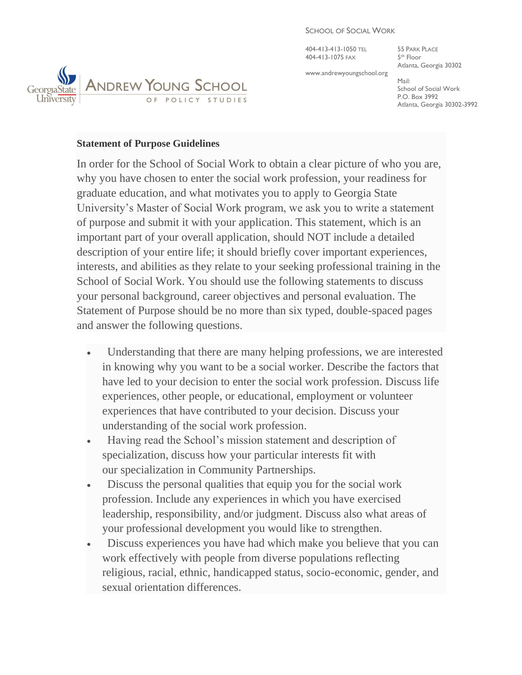404-413-413-1050 TEL 55 PARK PLACE 404-413-1075 FAX 5

5<sup>th</sup> Floor Atlanta, Georgia 30302

www.andrewyoungschool.org

Mail: School of Social Work P.O. Box 3992 Atlanta, Georgia 30302-3992



## **Statement of Purpose Guidelines**

In order for the School of Social Work to obtain a clear picture of who you are, why you have chosen to enter the social work profession, your readiness for graduate education, and what motivates you to apply to Georgia State University's Master of Social Work program, we ask you to write a statement of purpose and submit it with your application. This statement, which is an important part of your overall application, should NOT include a detailed description of your entire life; it should briefly cover important experiences, interests, and abilities as they relate to your seeking professional training in the School of Social Work. You should use the following statements to discuss your personal background, career objectives and personal evaluation. The Statement of Purpose should be no more than six typed, double-spaced pages and answer the following questions.

- Understanding that there are many helping professions, we are interested in knowing why you want to be a social worker. Describe the factors that have led to your decision to enter the social work profession. Discuss life experiences, other people, or educational, employment or volunteer experiences that have contributed to your decision. Discuss your understanding of the social work profession.
- Having read the School's mission statement and description of specialization, discuss how your particular interests fit with our specialization in Community Partnerships.
- Discuss the personal qualities that equip you for the social work profession. Include any experiences in which you have exercised leadership, responsibility, and/or judgment. Discuss also what areas of your professional development you would like to strengthen.
- Discuss experiences you have had which make you believe that you can work effectively with people from diverse populations reflecting religious, racial, ethnic, handicapped status, socio-economic, gender, and sexual orientation differences.